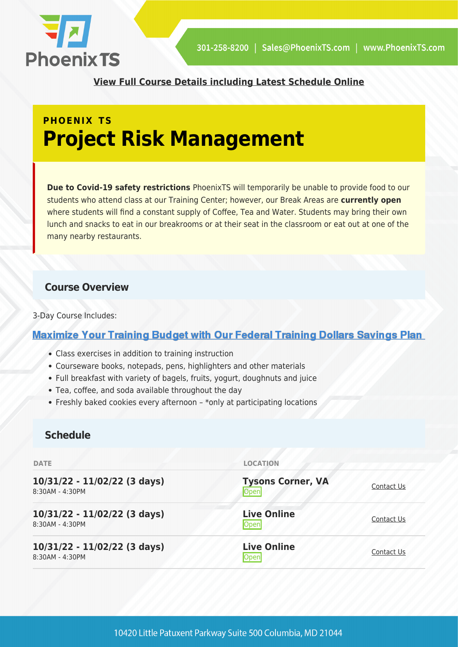

**[View Full Course Details including Latest Schedule Online](https://phoenixts.com/training-courses/project-risk-managgement/)**

## **PHOENIX TS Project Risk Management**

**Due to Covid-19 safety restrictions** PhoenixTS will temporarily be unable to provide food to our students who attend class at our Training Center; however, our Break Areas are **currently open** where students will find a constant supply of Coffee, Tea and Water. Students may bring their own lunch and snacks to eat in our breakrooms or at their seat in the classroom or eat out at one of the many nearby restaurants.

### **Course Overview**

3-Day Course Includes:

## **Maximize Your Training Budget with Our Federal Training Dollars Savings Plan**

- Class exercises in addition to training instruction
- Courseware books, notepads, pens, highlighters and other materials
- Full breakfast with variety of bagels, fruits, yogurt, doughnuts and juice
- Tea, coffee, and soda available throughout the day
- Freshly baked cookies every afternoon \*only at participating locations

## **Schedule**

| <b>DATE</b>                                     | <b>LOCATION</b>                         |            |
|-------------------------------------------------|-----------------------------------------|------------|
| 10/31/22 - 11/02/22 (3 days)<br>8:30AM - 4:30PM | <b>Tysons Corner, VA</b><br><b>Open</b> | Contact Us |
| 10/31/22 - 11/02/22 (3 days)<br>8:30AM - 4:30PM | <b>Live Online</b><br><b>Open</b>       | Contact Us |
| 10/31/22 - 11/02/22 (3 days)<br>8:30AM - 4:30PM | <b>Live Online</b><br><b>Open</b>       | Contact Us |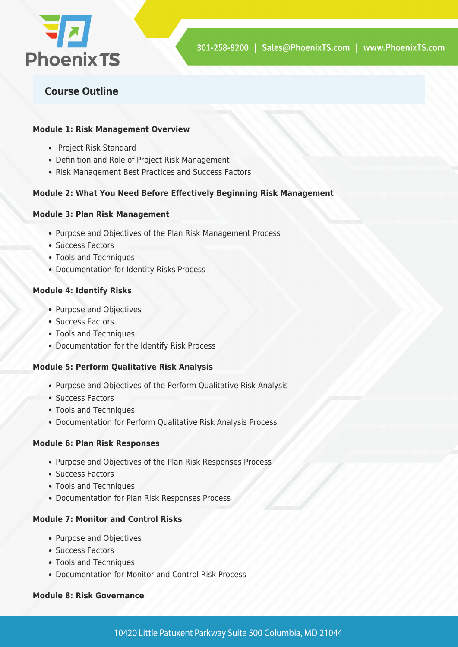

## **Course Outline**

#### **Module 1: Risk Management Overview**

- Project Risk Standard
- Definition and Role of Project Risk Management
- Risk Management Best Practices and Success Factors

#### **Module 2: What You Need Before Effectively Beginning Risk Management**

#### **Module 3: Plan Risk Management**

- Purpose and Objectives of the Plan Risk Management Process
- Success Factors
- Tools and Techniques
- Documentation for Identity Risks Process

#### **Module 4: Identify Risks**

- Purpose and Objectives
- Success Factors
- Tools and Techniques
- Documentation for the Identify Risk Process

#### **Module 5: Perform Qualitative Risk Analysis**

- Purpose and Objectives of the Perform Qualitative Risk Analysis
- Success Factors
- Tools and Techniques
- Documentation for Perform Qualitative Risk Analysis Process

#### **Module 6: Plan Risk Responses**

- Purpose and Objectives of the Plan Risk Responses Process
- Success Factors
- Tools and Techniques
- Documentation for Plan Risk Responses Process

#### **Module 7: Monitor and Control Risks**

- Purpose and Objectives
- Success Factors
- Tools and Techniques
- Documentation for Monitor and Control Risk Process

#### **Module 8: Risk Governance**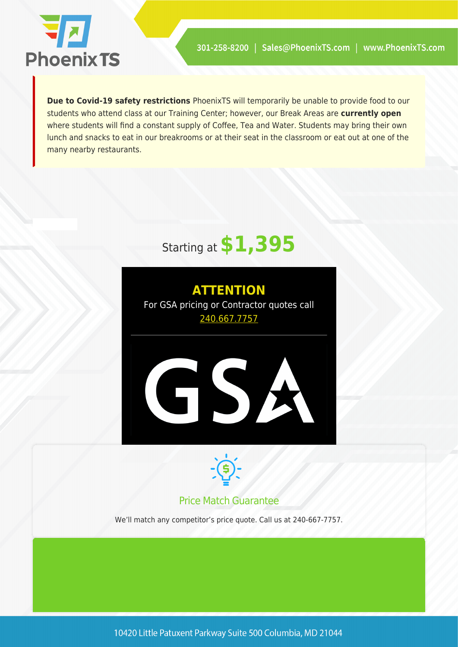

**Due to Covid-19 safety restrictions** PhoenixTS will temporarily be unable to provide food to our students who attend class at our Training Center; however, our Break Areas are **currently open** where students will find a constant supply of Coffee, Tea and Water. Students may bring their own lunch and snacks to eat in our breakrooms or at their seat in the classroom or eat out at one of the many nearby restaurants.

# Starting at **\$1,395**





## Price Match Guarantee

We'll match any competitor's price quote. Call us at 240-667-7757.

10420 Little Patuxent Parkway Suite 500 Columbia, MD 21044